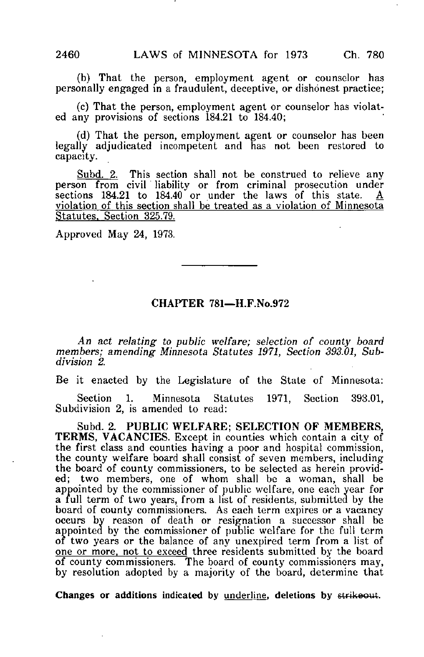(b) That the person, employment agent or counselor has personally engaged in a fraudulent, deceptive, or dishonest practice;

(c) That the person, employment agent or counselor has violated any provisions of sections 184.21 to 184.40;

(d) That the person, employment agent or counselor has been legally adjudicated incompetent and has not been restored to capacity.

Subd. 2. This section shall not be construed to relieve any person from civil liability or from criminal prosecution under sections 184.21 to 184.40 or under the laws of this state.  $\underline{A}$ violation of this section shall be treated as a violation of Minnesota Statutes. Section 325.79.

Approved May 24, 1973.

## CHAPTER 781—H.F.No.972

An act relating to public welfare; selection of county board members; amending Minnesota Statutes 1971, Section 393.01, Subdivision 2.

Be it enacted by the Legislature of the State of Minnesota:

Section 1. Minnesota Statutes 1971, Section 393.01, Subdivision 2, is amended to read:

Subd. 2. PUBLIC WELFARE; SELECTION OF MEMBERS, TERMS, VACANCIES. Except in counties which contain a city of the first class and counties having a poor and hospital commission, the county welfare board shall consist of seven members, including the board of county commissioners, to be selected as herein provided; two members, one of whom shall be a woman, shall be appointed by the commissioner of public welfare, one each year for a full term of two years, from a list of residents, submitted by the board of county commissioners. As each term expires or a vacancy occurs by reason of death or resignation a successor shall be appointed by the commissioner of public welfare for the full term of two years or the balance of any unexpired term from a list of one or more, not to exceed three residents submitted by the board of county commissioners. The board of county commissioners may, by resolution adopted by a majority of the board, determine that

Changes or additions indicated by underline, deletions by strikeout.